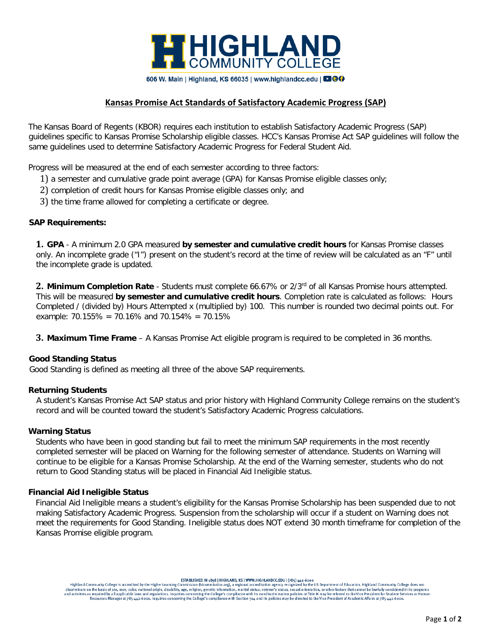

# **Kansas Promise Act Standards of Satisfactory Academic Progress (SAP)**

The Kansas Board of Regents (KBOR) requires each institution to establish Satisfactory Academic Progress (SAP) guidelines specific to Kansas Promise Scholarship eligible classes. HCC's Kansas Promise Act SAP guidelines will follow the same guidelines used to determine Satisfactory Academic Progress for Federal Student Aid.

Progress will be measured at the end of each semester according to three factors:

- 1) a semester and cumulative grade point average (GPA) for Kansas Promise eligible classes only;
- 2) completion of credit hours for Kansas Promise eligible classes only; and
- 3) the time frame allowed for completing a certificate or degree.

### **SAP Requirements:**

**1. GPA** - A minimum 2.0 GPA measured **by semester and cumulative credit hours** for Kansas Promise classes only. An incomplete grade ("I") present on the student's record at the time of review will be calculated as an "F" until the incomplete grade is updated.

**2. Minimum Completion Rate** - Students must complete 66.67% or 2/3rd of all Kansas Promise hours attempted. This will be measured **by semester and cumulative credit hours**. Completion rate is calculated as follows: Hours Completed / (divided by) Hours Attempted x (multiplied by) 100. This number is rounded two decimal points out. For example: 70.155% = 70.16% and 70.154% = 70.15%

**3. Maximum Time Frame** – A Kansas Promise Act eligible program is required to be completed in 36 months.

### **Good Standing Status**

Good Standing is defined as meeting all three of the above SAP requirements.

### **Returning Students**

A student's Kansas Promise Act SAP status and prior history with Highland Community College remains on the student's record and will be counted toward the student's Satisfactory Academic Progress calculations.

### **Warning Status**

Students who have been in good standing but fail to meet the minimum SAP requirements in the most recently completed semester will be placed on Warning for the following semester of attendance. Students on Warning will continue to be eligible for a Kansas Promise Scholarship. At the end of the Warning semester, students who do not return to Good Standing status will be placed in Financial Aid Ineligible status.

### **Financial Aid Ineligible Status**

Financial Aid Ineligible means a student's eligibility for the Kansas Promise Scholarship has been suspended due to not making Satisfactory Academic Progress. Suspension from the scholarship will occur if a student on Warning does not meet the requirements for Good Standing. Ineligible status does NOT extend 30 month timeframe for completion of the Kansas Promise eligible program.

ESTABLISHED IN 1858 | HIGHLAND, KS | WWW.HIGHLANDCCEDU | (785) 442-6000<br>Highland Community College is accredited by the Higher Learning Commission (hlcommission.org), a regional accreditation agency recognized by the US De ing manusculation and activities as required by a decriminate on the basis of sex, nace, color, national origin, disability, age, religion, genetic information, marital status, veteran's status, sexual orientation, or othe